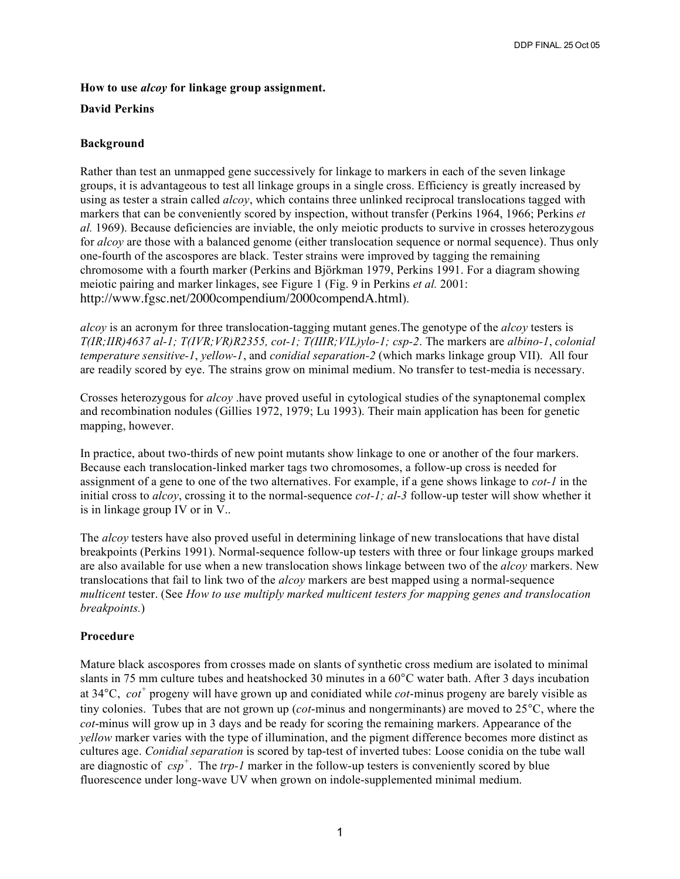### **How to use** *alcoy* **for linkage group assignment.**

#### **David Perkins**

# **Background**

Rather than test an unmapped gene successively for linkage to markers in each of the seven linkage groups, it is advantageous to test all linkage groups in a single cross. Efficiency is greatly increased by using as tester a strain called *alcoy*, which contains three unlinked reciprocal translocations tagged with markers that can be conveniently scored by inspection, without transfer (Perkins 1964, 1966; Perkins *et al.* 1969). Because deficiencies are inviable, the only meiotic products to survive in crosses heterozygous for *alcoy* are those with a balanced genome (either translocation sequence or normal sequence). Thus only one-fourth of the ascospores are black. Tester strains were improved by tagging the remaining chromosome with a fourth marker (Perkins and Björkman 1979, Perkins 1991. For a diagram showing meiotic pairing and marker linkages, see Figure 1 (Fig. 9 in Perkins *et al.* 2001: http://www.fgsc.net/2000compendium/2000compendA.html).

*alcoy* is an acronym for three translocation-tagging mutant genes.The genotype of the *alcoy* testers is *T(IR;IIR)4637 al-1; T(IVR;VR)R2355, cot-1; T(IIIR;VIL)ylo-1; csp-2*. The markers are *albino-1*, *colonial temperature sensitive-1*, *yellow-1*, and *conidial separation-2* (which marks linkage group VII). All four are readily scored by eye. The strains grow on minimal medium. No transfer to test-media is necessary.

Crosses heterozygous for *alcoy* .have proved useful in cytological studies of the synaptonemal complex and recombination nodules (Gillies 1972, 1979; Lu 1993). Their main application has been for genetic mapping, however.

In practice, about two-thirds of new point mutants show linkage to one or another of the four markers. Because each translocation-linked marker tags two chromosomes, a follow-up cross is needed for assignment of a gene to one of the two alternatives. For example, if a gene shows linkage to *cot-1* in the initial cross to *alcoy*, crossing it to the normal-sequence *cot-1; al-3* follow-up tester will show whether it is in linkage group IV or in V..

The *alcoy* testers have also proved useful in determining linkage of new translocations that have distal breakpoints (Perkins 1991). Normal-sequence follow-up testers with three or four linkage groups marked are also available for use when a new translocation shows linkage between two of the *alcoy* markers. New translocations that fail to link two of the *alcoy* markers are best mapped using a normal-sequence *multicent* tester. (See *How to use multiply marked multicent testers for mapping genes and translocation breakpoints.*)

# **Procedure**

Mature black ascospores from crosses made on slants of synthetic cross medium are isolated to minimal slants in 75 mm culture tubes and heatshocked 30 minutes in a 60°C water bath. After 3 days incubation at 34°C, *cot <sup>+</sup>* progeny will have grown up and conidiated while *cot*-minus progeny are barely visible as tiny colonies. Tubes that are not grown up (*cot*-minus and nongerminants) are moved to 25°C, where the *cot*-minus will grow up in 3 days and be ready for scoring the remaining markers. Appearance of the *yellow* marker varies with the type of illumination, and the pigment difference becomes more distinct as cultures age. *Conidial separation* is scored by tap-test of inverted tubes: Loose conidia on the tube wall are diagnostic of *csp<sup>+</sup>* . The *trp-1* marker in the follow-up testers is conveniently scored by blue fluorescence under long-wave UV when grown on indole-supplemented minimal medium.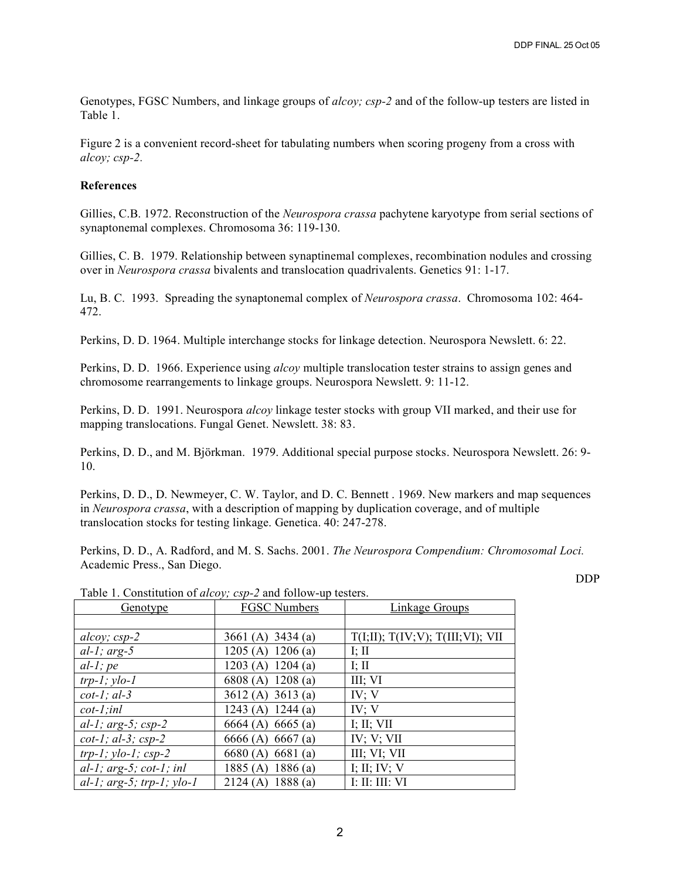Genotypes, FGSC Numbers, and linkage groups of *alcoy; csp-2* and of the follow-up testers are listed in Table 1.

Figure 2 is a convenient record-sheet for tabulating numbers when scoring progeny from a cross with *alcoy; csp-2.*

### **References**

Gillies, C.B. 1972. Reconstruction of the *Neurospora crassa* pachytene karyotype from serial sections of synaptonemal complexes. Chromosoma 36: 119-130.

Gillies, C. B. 1979. Relationship between synaptinemal complexes, recombination nodules and crossing over in *Neurospora crassa* bivalents and translocation quadrivalents. Genetics 91: 1-17.

Lu, B. C. 1993. Spreading the synaptonemal complex of *Neurospora crassa*. Chromosoma 102: 464- 472.

Perkins, D. D. 1964. Multiple interchange stocks for linkage detection. Neurospora Newslett. 6: 22.

Perkins, D. D. 1966. Experience using *alcoy* multiple translocation tester strains to assign genes and chromosome rearrangements to linkage groups. Neurospora Newslett. 9: 11-12.

Perkins, D. D. 1991. Neurospora *alcoy* linkage tester stocks with group VII marked, and their use for mapping translocations. Fungal Genet. Newslett. 38: 83.

Perkins, D. D., and M. Björkman. 1979. Additional special purpose stocks. Neurospora Newslett. 26: 9- 10.

Perkins, D. D., D. Newmeyer, C. W. Taylor, and D. C. Bennett . 1969. New markers and map sequences in *Neurospora crassa*, with a description of mapping by duplication coverage, and of multiple translocation stocks for testing linkage. Genetica. 40: 247-278.

Perkins, D. D., A. Radford, and M. S. Sachs. 2001. *The Neurospora Compendium: Chromosomal Loci.* Academic Press., San Diego.

DDP

| <u>Genotype</u>              | <b>FGSC Numbers</b> | <b>Linkage Groups</b>            |
|------------------------------|---------------------|----------------------------------|
|                              |                     |                                  |
| alcoy; $csp-2$               | 3661 (A) $3434$ (a) | T(I;II); T(IV;V); T(III;VI); VII |
| $al-1$ ; arg-5               | 1205 (A) $1206$ (a) | I; II                            |
| $al-l$ ; pe                  | 1203 (A) $1204$ (a) | I; $\text{II}$                   |
| $trp-1$ ; $ylo-1$            | 6808 (A) 1208 (a)   | III; VI                          |
| $cot-1$ ; al-3               | 3612(A) 3613(a)     | IV; V                            |
| $cot-1;$ inl                 | 1243 (A) 1244 (a)   | IV; V                            |
| al-1; $arg-5$ ; $csp-2$      | 6664 (A) 6665 (a)   | I; II; VII                       |
| $cot-1$ ; al-3; $csp-2$      | 6666 (A) 6667 (a)   | IV; V; VII                       |
| $trp-1$ ; $ylo-1$ ; $csp-2$  | 6680(A) 6681(a)     | III; VI; VII                     |
| $al-1$ ; arg-5; cot-1; inl   | 1886(a)<br>1885(A)  | I; II; IV; V                     |
| $al-1$ ; arg-5; trp-1; ylo-1 | 2124(A)<br>1888(a)  | <b>I: II: III: VI</b>            |

Table 1. Constitution of *alcoy; csp-2* and follow-up testers.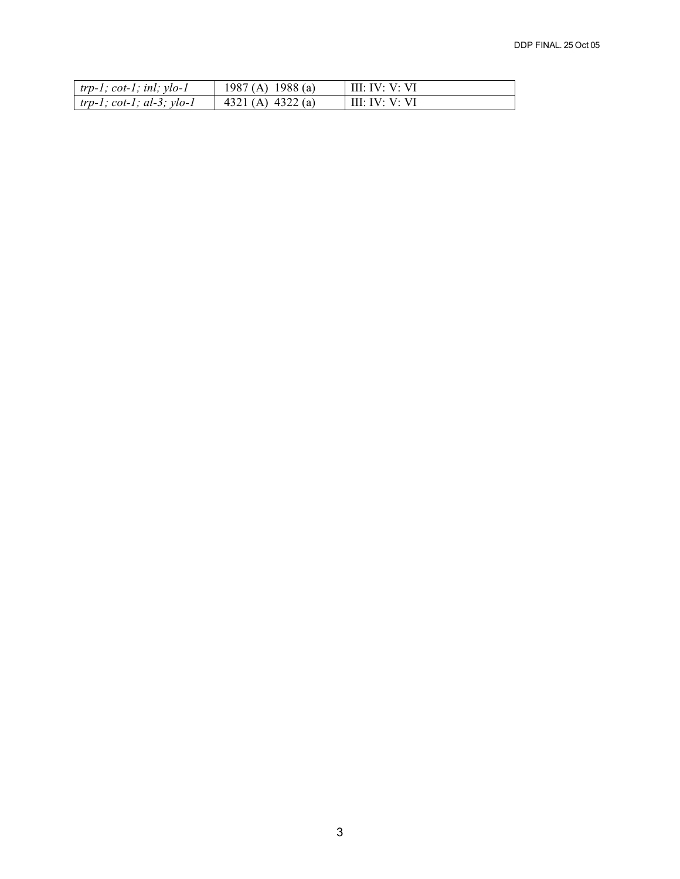| $\vert$ trp-1; cot-1; inl; ylo-1  | 1987 (A) 1988 (a)   | III: IV: V: VI |
|-----------------------------------|---------------------|----------------|
| $\vert$ trp-1; cot-1; al-3; ylo-1 | 4321 (A) $4322$ (a) | III: IV: V: VI |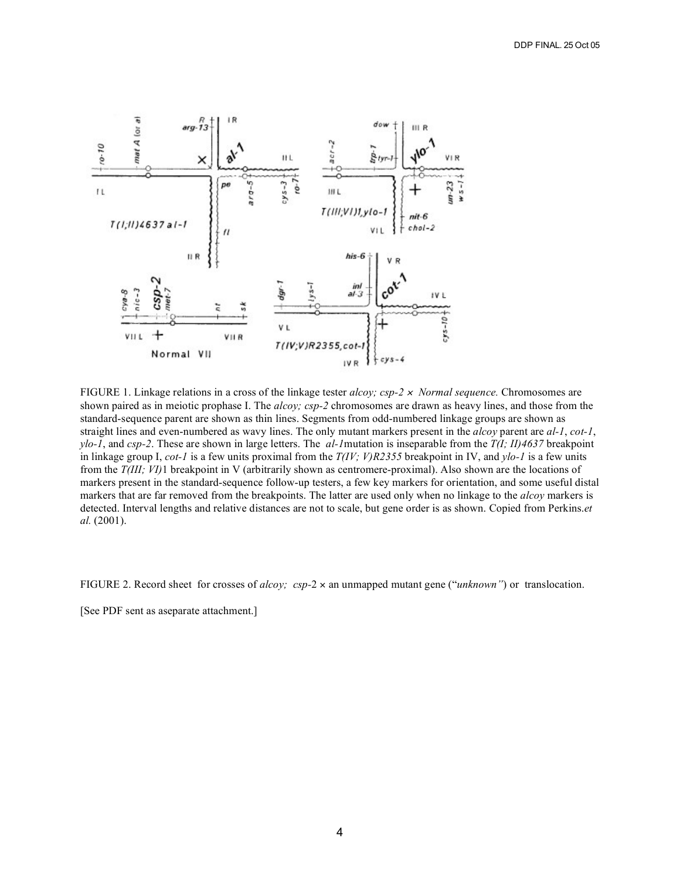

FIGURE 1. Linkage relations in a cross of the linkage tester *alcoy; csp-2* <sup>×</sup> *Normal sequence.* Chromosomes are shown paired as in meiotic prophase I. The *alcoy; csp-2* chromosomes are drawn as heavy lines, and those from the standard-sequence parent are shown as thin lines. Segments from odd-numbered linkage groups are shown as straight lines and even-numbered as wavy lines. The only mutant markers present in the *alcoy* parent are *al-1*, *cot-1*, *ylo-1*, and *csp-2*. These are shown in large letters. The *al-1*mutation is inseparable from the *T(I; II)4637* breakpoint in linkage group I, *cot-1* is a few units proximal from the *T(IV; V)R2355* breakpoint in IV, and *ylo-1* is a few units from the *T(III; VI)*1 breakpoint in V (arbitrarily shown as centromere-proximal). Also shown are the locations of markers present in the standard-sequence follow-up testers, a few key markers for orientation, and some useful distal markers that are far removed from the breakpoints. The latter are used only when no linkage to the *alcoy* markers is detected. Interval lengths and relative distances are not to scale, but gene order is as shown. Copied from Perkins.*et al.* (2001).

FIGURE 2. Record sheet for crosses of *alcoy; csp-*2 × an unmapped mutant gene ("*unknown"*) or translocation.

[See PDF sent as aseparate attachment.]